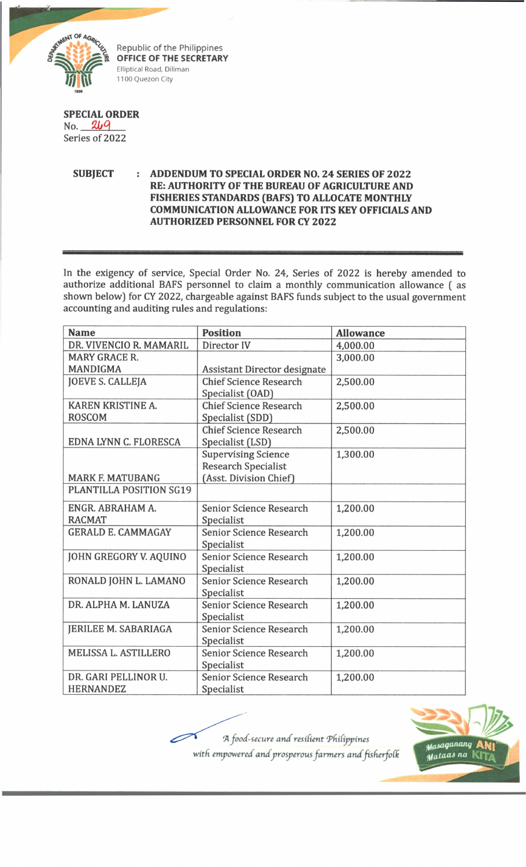

Republic of the Philippines **OFFICE OF THE SECRETARY** Elliptical Road, Diliman 1100 Quezon City

**SPECIAL ORDER**  $No.$  269 Series of 2022

> **SUBJECT : ADDENDUM TO SPECIAL ORDER NO. 24 SERIES OF 2022 RE: AUTHORITY OF THE BUREAU OF AGRICULTURE AND** FISHERIES STANDARDS (BAFS) TO ALLOCATE MONTHLY **COMMUNICATION ALLOWANCE FOR ITS KEY OFFICIALS AND AUTHORIZED PERSONNEL FOR CY 2022**

In the exigency of service, Special Order No. 24, Series of 2022 is hereby amended to authorize additional BAFS personnel to claim a monthly communication allowance ( as shown below) for CY 2022, chargeable against BAFS funds subject to the usual government accounting and auditing rules and regulations:

| <b>Name</b>               | <b>Position</b>                     | <b>Allowance</b> |
|---------------------------|-------------------------------------|------------------|
| DR. VIVENCIO R. MAMARIL   | Director IV                         | 4,000.00         |
| <b>MARY GRACE R.</b>      |                                     | 3,000.00         |
| <b>MANDIGMA</b>           | <b>Assistant Director designate</b> |                  |
| <b>JOEVE S. CALLEJA</b>   | <b>Chief Science Research</b>       | 2,500.00         |
|                           | Specialist (OAD)                    |                  |
| KAREN KRISTINE A.         | <b>Chief Science Research</b>       | 2,500.00         |
| <b>ROSCOM</b>             | Specialist (SDD)                    |                  |
|                           | <b>Chief Science Research</b>       | 2,500.00         |
| EDNA LYNN C. FLORESCA     | Specialist (LSD)                    |                  |
|                           | <b>Supervising Science</b>          | 1,300.00         |
|                           | <b>Research Specialist</b>          |                  |
| <b>MARK F. MATUBANG</b>   | (Asst. Division Chief)              |                  |
| PLANTILLA POSITION SG19   |                                     |                  |
| ENGR. ABRAHAM A.          | <b>Senior Science Research</b>      | 1,200.00         |
| <b>RACMAT</b>             | Specialist                          |                  |
| <b>GERALD E. CAMMAGAY</b> | <b>Senior Science Research</b>      | 1,200.00         |
|                           | Specialist                          |                  |
| JOHN GREGORY V. AQUINO    | Senior Science Research             | 1,200.00         |
|                           | Specialist                          |                  |
| RONALD JOHN L. LAMANO     | Senior Science Research             | 1,200.00         |
|                           | Specialist                          |                  |
| DR. ALPHA M. LANUZA       | <b>Senior Science Research</b>      | 1,200.00         |
|                           | Specialist                          |                  |
| JERILEE M. SABARIAGA      | <b>Senior Science Research</b>      | 1,200.00         |
|                           | Specialist                          |                  |
| MELISSA L. ASTILLERO      | <b>Senior Science Research</b>      | 1,200.00         |
|                           | Specialist                          |                  |
| DR. GARI PELLINOR U.      | <b>Senior Science Research</b>      | 1,200.00         |
| <b>HERNANDEZ</b>          | Specialist                          |                  |

*"A food-secure and resident 'PdiCippines* with empowered and prosperous farmers and fisherfolk

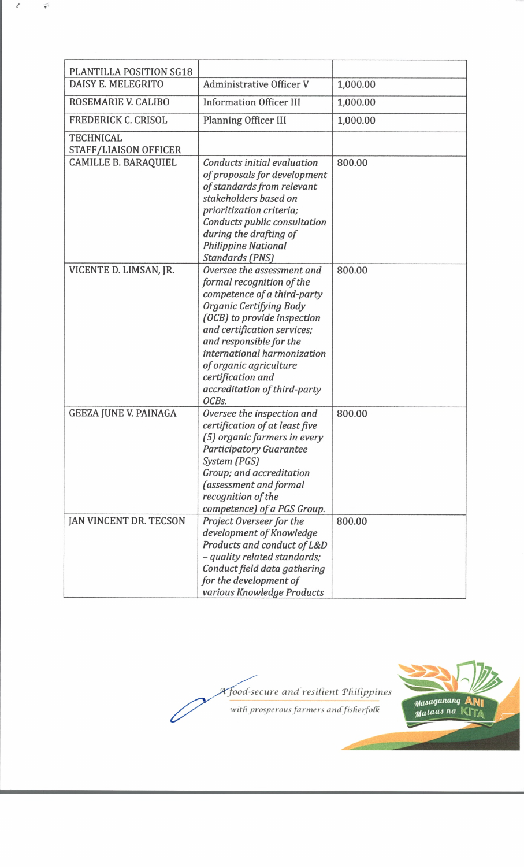| PLANTILLA POSITION SG18                          |                                                                                                                                                                                                                                                                                                                                   |          |
|--------------------------------------------------|-----------------------------------------------------------------------------------------------------------------------------------------------------------------------------------------------------------------------------------------------------------------------------------------------------------------------------------|----------|
| DAISY E. MELEGRITO                               | <b>Administrative Officer V</b>                                                                                                                                                                                                                                                                                                   | 1,000.00 |
| ROSEMARIE V. CALIBO                              | <b>Information Officer III</b>                                                                                                                                                                                                                                                                                                    | 1,000.00 |
| <b>FREDERICK C. CRISOL</b>                       | <b>Planning Officer III</b>                                                                                                                                                                                                                                                                                                       | 1,000.00 |
| <b>TECHNICAL</b><br><b>STAFF/LIAISON OFFICER</b> |                                                                                                                                                                                                                                                                                                                                   |          |
| <b>CAMILLE B. BARAQUIEL</b>                      | Conducts initial evaluation<br>of proposals for development<br>of standards from relevant<br>stakeholders based on<br>prioritization criteria;<br>Conducts public consultation<br>during the drafting of<br><b>Philippine National</b><br><b>Standards (PNS)</b>                                                                  | 800.00   |
| VICENTE D. LIMSAN, JR.                           | Oversee the assessment and<br>formal recognition of the<br>competence of a third-party<br>Organic Certifying Body<br>(OCB) to provide inspection<br>and certification services;<br>and responsible for the<br>international harmonization<br>of organic agriculture<br>certification and<br>accreditation of third-party<br>OCBs. | 800.00   |
| <b>GEEZA JUNE V. PAINAGA</b>                     | Oversee the inspection and<br>certification of at least five<br>(5) organic farmers in every<br><b>Participatory Guarantee</b><br>System (PGS)<br>Group; and accreditation<br>(assessment and formal<br>recognition of the<br>competence) of a PGS Group.                                                                         | 800.00   |
| JAN VINCENT DR. TECSON                           | Project Overseer for the<br>development of Knowledge<br>Products and conduct of L&D<br>- quality related standards;<br>Conduct field data gathering<br>for the development of<br>various Knowledge Products                                                                                                                       | 800.00   |

 $\mathbf{r}^{\mathbf{t}}$ 

 $\widetilde{\mathbf{r}^t}$